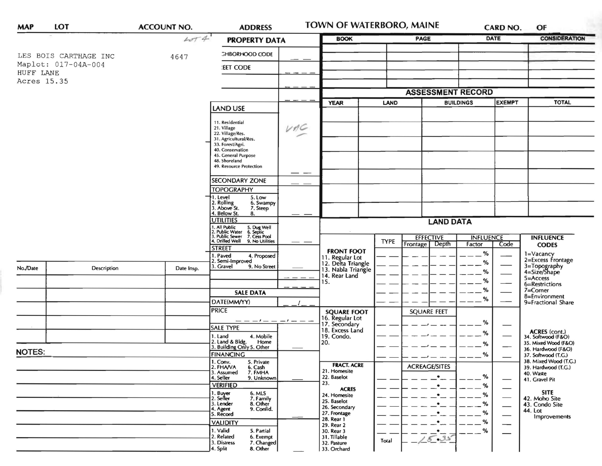| <b>MAP</b>                                      | LOT                   | <b>ACCOUNT NO.</b> | <b>ADDRESS</b>                                                                                  |  | <b>TOWN OF WATERBORO, MAINE</b>                             |             |                                    | CARD NO.<br>OF             |               |                                                             |
|-------------------------------------------------|-----------------------|--------------------|-------------------------------------------------------------------------------------------------|--|-------------------------------------------------------------|-------------|------------------------------------|----------------------------|---------------|-------------------------------------------------------------|
|                                                 |                       | 4074               | <b>PROPERTY DATA</b>                                                                            |  | <b>BOOK</b>                                                 |             | PAGE                               |                            | <b>DATE</b>   | <b>CONSIDERATION</b>                                        |
|                                                 | LES BOIS CARTHAGE INC | 4647               | <b>GHBORHOOD CODE</b>                                                                           |  |                                                             |             |                                    |                            |               |                                                             |
| Maplot: 017-04A-004<br>HUFF LANE<br>Acres 15.35 |                       |                    | <b>EET CODE</b>                                                                                 |  |                                                             |             |                                    |                            |               |                                                             |
|                                                 |                       |                    |                                                                                                 |  |                                                             |             |                                    |                            |               |                                                             |
|                                                 |                       |                    |                                                                                                 |  | <b>ASSESSMENT RECORD</b>                                    |             |                                    |                            |               |                                                             |
|                                                 |                       |                    | <b>LAND USE</b>                                                                                 |  | <b>YEAR</b>                                                 | <b>LAND</b> | <b>BUILDINGS</b>                   |                            | <b>EXEMPT</b> | <b>TOTAL</b>                                                |
|                                                 |                       |                    |                                                                                                 |  |                                                             |             |                                    |                            |               |                                                             |
|                                                 |                       |                    | 11. Residential<br>VAC<br>21. Village<br>22. Village/Res.                                       |  |                                                             |             |                                    |                            |               |                                                             |
|                                                 |                       |                    | 31. Agricultural/Res.<br>33. Forest/Agri.                                                       |  |                                                             |             |                                    |                            |               |                                                             |
|                                                 |                       |                    | 40. Conservation<br>45. General Purpose                                                         |  |                                                             |             |                                    |                            |               |                                                             |
|                                                 |                       |                    | 48. Shoreland<br>49. Resource Protection                                                        |  |                                                             |             |                                    |                            |               |                                                             |
|                                                 |                       |                    |                                                                                                 |  |                                                             |             |                                    |                            |               |                                                             |
|                                                 |                       |                    | <b>SECONDARY ZONE</b>                                                                           |  |                                                             |             |                                    |                            |               |                                                             |
|                                                 |                       |                    | <b>TOPOGRAPHY</b><br>1. Level<br>5. Low                                                         |  |                                                             |             |                                    |                            |               |                                                             |
|                                                 |                       |                    | 2. Rolling<br>3. Above St.<br>6. Swampy<br>7. Steep                                             |  |                                                             |             |                                    |                            |               |                                                             |
|                                                 |                       |                    | 4. Below St.<br>8.<br><b>UTILITIES</b>                                                          |  | <b>LAND DATA</b>                                            |             |                                    |                            |               |                                                             |
|                                                 |                       |                    | I. All Public<br>?. Public Water<br>3. Public Sewer<br>5. Dug Well<br>6. Septic<br>7. Cess Pool |  |                                                             |             |                                    |                            |               |                                                             |
|                                                 |                       |                    | 1. Drilled Well<br>9. No Utilities                                                              |  |                                                             | <b>TYPE</b> | <b>EFFECTIVE</b><br>Frontage Depth | <b>INFLUENCE</b><br>Factor | Code          | <b>INFLUENCE</b><br><b>CODES</b>                            |
|                                                 |                       |                    | <b>STREET</b><br>I. Paved<br>4. Proposed                                                        |  | <b>FRONT FOOT</b>                                           |             |                                    | %                          |               | 1=Vacancy                                                   |
|                                                 | Description           | Date Insp.         | 2. Semi-Improved<br>3. Gravel<br>9. No Street                                                   |  | 11. Regular Lot<br>12. Delta Triangle<br>13. Nabla Triangle |             |                                    | %                          |               | 2=Excess Frontage                                           |
| No./Date                                        |                       |                    |                                                                                                 |  | 14. Rear Land                                               |             |                                    | %                          |               | 3=Topography<br>4=Size/Shape<br>$5 =$ Access                |
|                                                 |                       |                    |                                                                                                 |  | 15.                                                         |             |                                    | %                          |               | 6=Restrictions                                              |
|                                                 |                       |                    | <b>SALE DATA</b>                                                                                |  |                                                             |             |                                    | $\%$<br>$\%$               |               | 7=Corner<br>8=Environment                                   |
|                                                 |                       |                    | DATE(MM/YY)<br><b>PRICE</b><br>- - - / - - - / - - -                                            |  |                                                             |             |                                    |                            |               | 9=Fractional Share                                          |
|                                                 |                       |                    |                                                                                                 |  | <b>SQUARE FOOT</b><br>16. Regular Lot                       |             | <b>SQUARE FEET</b>                 |                            |               |                                                             |
|                                                 |                       |                    | <b>SALE TYPE</b>                                                                                |  | 17. Secondary<br>18. Excess Land                            |             |                                    | %                          |               |                                                             |
|                                                 |                       |                    | 4. Mobile<br>1. Land<br>Home                                                                    |  | 19. Condo.<br>20.                                           |             |                                    | %                          |               | ACRES (cont.)<br>34. Softwood (F&O)<br>35. Mixed Wood (F&O) |
| <b>NOTES:</b>                                   |                       |                    | 2. Land & Bldg. Home<br>3. Building Only 5. Other                                               |  |                                                             |             |                                    | %                          |               | 36. Hardwood (F&O)                                          |
|                                                 |                       |                    | <b>FINANCING</b><br>5. Private                                                                  |  |                                                             |             |                                    | $\%$                       |               | 37. Softwood (T.G.)<br>38. Mixed Wood (T.G.)                |
|                                                 |                       |                    | 1. Conv.<br>2. FHA/VA<br>6. Cash<br>7. FMHA<br>3. Assumed                                       |  | <b>FRACT. ACRE</b><br>21. Homesite                          |             | <b>ACREAGE/SITES</b>               |                            |               | 39. Hardwood (T.G.)<br>40. Waste                            |
|                                                 |                       |                    | 4. Seller<br>9. Unknown<br><b>VERIFIED</b>                                                      |  | 22. Baselot<br>23.                                          |             | $\bullet$<br>$\bullet$             | %<br>%                     |               | 41. Gravel Pit                                              |
|                                                 |                       |                    | 6. MLS<br>1. Buyer                                                                              |  | <b>ACRES</b><br>24. Homesite                                |             | $\bullet$                          | $\%$                       |               | <b>SITE</b>                                                 |
|                                                 |                       |                    | 2. Seller<br>7. Family<br>8. Other<br>3. Lender                                                 |  | 25. Baselot                                                 |             | $\bullet$                          | %                          |               | 42. Moho Site<br>43. Condo Site                             |
|                                                 |                       |                    | 4. Agent<br>9. Confid.<br>5. Record                                                             |  | 26. Secondary<br>27. Frontage                               |             | $\bullet$                          | %                          | —             | 44. Lot<br>Improvements                                     |
|                                                 |                       |                    | <b>VALIDITY</b>                                                                                 |  | 28. Rear 1<br>29. Rear 2                                    |             | ٠                                  | %                          | —             |                                                             |
|                                                 |                       |                    | 1. Valid<br>5. Partial<br>2. Related<br>6. Exempt                                               |  | 30. Rear 3<br>31. Tillable                                  |             | $\cdot$<br>5.35                    | $-$ %                      |               |                                                             |
|                                                 |                       |                    | 3. Distress<br>7. Changed<br>8. Other<br>4. Split                                               |  | 32. Pasture<br>33. Orchard                                  | Total       |                                    |                            |               |                                                             |